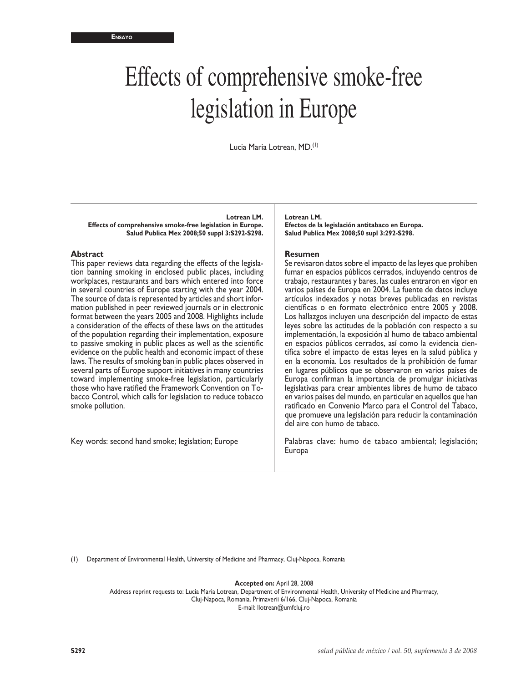# Effects of comprehensive smoke-free legislation in Europe

Lucia Maria Lotrean, MD.(1)

**Lotrean LM. Effects of comprehensive smoke-free legislation in Europe. Salud Publica Mex 2008;50 suppl 3:S292-S298.**

#### **Abstract**

This paper reviews data regarding the effects of the legislation banning smoking in enclosed public places, including workplaces, restaurants and bars which entered into force in several countries of Europe starting with the year 2004. The source of data is represented by articles and short infor mation published in peer reviewed journals or in electronic format between the years 2005 and 2008. Highlights include a consideration of the effects of these laws on the attitudes of the population regarding their implementation, exposure to passive smoking in public places as well as the scientific evidence on the public health and economic impact of these laws. The results of smoking ban in public places observed in several parts of Europe support initiatives in many countries toward implementing smoke-free legislation, particularly those who have ratified the Framework Convention on To bacco Control, which calls for legislation to reduce tobacco smoke pollution.

Key words: second hand smoke; legislation; Europe

**Lotrean LM. Efectos de la legislación antitabaco en Europa. Salud Publica Mex 2008;50 supl 3:292-S298.**

#### **Resumen**

Se revisaron datos sobre el impacto de las leyes que prohíben fumar en espacios públicos cerrados, incluyendo centros de trabajo, restaurantes y bares, las cuales entraron en vigor en varios países de Europa en 2004. La fuente de datos incluye artículos indexados y notas breves publicadas en revistas científicas o en formato electrónico entre 2005 y 2008. Los hallazgos incluyen una descripción del impacto de estas leyes sobre las actitudes de la población con respecto a su implementación, la exposición al humo de tabaco ambiental en espacios públicos cerrados, así como la evidencia cien tífica sobre el impacto de estas leyes en la salud pública y en la economía. Los resultados de la prohibición de fumar en lugares públicos que se observaron en varios países de Europa confirman la importancia de promulgar iniciativas legislativas para crear ambientes libres de humo de tabaco en varios países del mundo, en particular en aquellos que han ratificado en Convenio Marco para el Control del Tabaco, que promueve una legislación para reducir la contaminación del aire con humo de tabaco.

Palabras clave: humo de tabaco ambiental; legislación; Europa

(1) Department of Environmental Health, University of Medicine and Pharmacy, Cluj-Napoca, Romania

**Accepted on:** April 28, 2008

Address reprint requests to: Lucia Maria Lotrean, Department of Environmental Health, University of Medicine and Pharmacy, Cluj-Napoca, Romania. Primaverii 6/166, Cluj-Napoca, Romania E-mail: llotrean@umfcluj.ro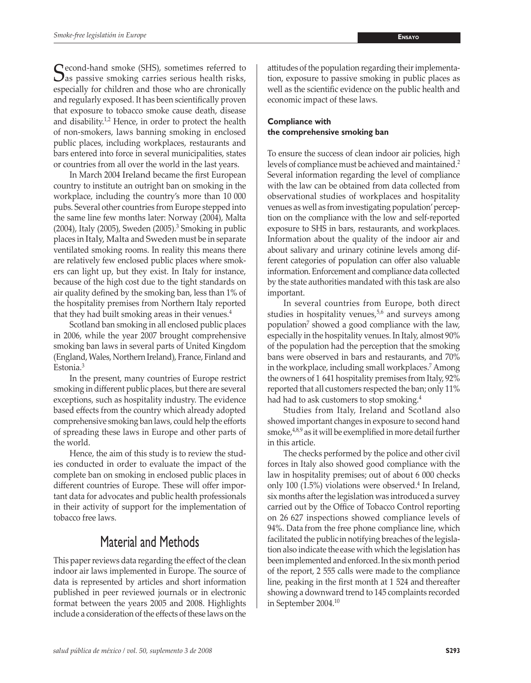$\mathbb C$  econd-hand smoke (SHS), sometimes referred to  $\bigcup$  as passive smoking carries serious health risks, especially for children and those who are chronically and regularly exposed. It has been scientifically proven that exposure to tobacco smoke cause death, disease and disability. $1,2$  Hence, in order to protect the health of non-smokers, laws banning smoking in enclosed public places, including workplaces, restaurants and bars entered into force in several municipalities, states or countries from all over the world in the last years.

In March 2004 Ireland became the first European country to institute an outright ban on smoking in the workplace, including the country's more than 10 000 pubs. Several other countries from Europe stepped into the same line few months later: Norway (2004), Malta (2004), Italy (2005), Sweden (2005).<sup>3</sup> Smoking in public places in Italy, Malta and Sweden must be in separate ventilated smoking rooms. In reality this means there are relatively few enclosed public places where smokers can light up, but they exist. In Italy for instance, because of the high cost due to the tight standards on air quality defined by the smoking ban, less than 1% of the hospitality premises from Northern Italy reported that they had built smoking areas in their venues.<sup>4</sup>

Scotland ban smoking in all enclosed public places in 2006, while the year 2007 brought comprehensive smoking ban laws in several parts of United Kingdom (England, Wales, Northern Ireland), France, Finland and Estonia.<sup>3</sup>

In the present, many countries of Europe restrict smoking in different public places, but there are several exceptions, such as hospitality industry. The evidence based effects from the country which already adopted comprehensive smoking ban laws, could help the efforts of spreading these laws in Europe and other parts of the world.

Hence, the aim of this study is to review the studies conducted in order to evaluate the impact of the complete ban on smoking in enclosed public places in different countries of Europe. These will offer important data for advocates and public health professionals in their activity of support for the implementation of tobacco free laws.

# Material and Methods

This paper reviews data regarding the effect of the clean indoor air laws implemented in Europe. The source of data is represented by articles and short information published in peer reviewed journals or in electronic format between the years 2005 and 2008. Highlights include a consideration of the effects of these laws on the

attitudes of the population regarding their implementation, exposure to passive smoking in public places as well as the scientific evidence on the public health and economic impact of these laws.

# **Compliance with the comprehensive smoking ban**

To ensure the success of clean indoor air policies, high levels of compliance must be achieved and maintained.<sup>2</sup> Several information regarding the level of compliance with the law can be obtained from data collected from observational studies of workplaces and hospitality venues as well as from investigating population' perception on the compliance with the low and self-reported exposure to SHS in bars, restaurants, and workplaces. Information about the quality of the indoor air and about salivary and urinary cotinine levels among different categories of population can offer also valuable information. Enforcement and compliance data collected by the state authorities mandated with this task are also important.

In several countries from Europe, both direct studies in hospitality venues, $5,6$  and surveys among population<sup>7</sup> showed a good compliance with the law, especially in the hospitality venues. In Italy, almost 90% of the population had the perception that the smoking bans were observed in bars and restaurants, and 70% in the workplace, including small workplaces.7 Among the owners of 1 641 hospitality premises from Italy, 92% reported that all customers respected the ban; only 11% had had to ask customers to stop smoking.<sup>4</sup>

Studies from Italy, Ireland and Scotland also showed important changes in exposure to second hand  $smoke<sub>r</sub><sup>4,8,9</sup>$  as it will be exemplified in more detail further in this article.

The checks performed by the police and other civil forces in Italy also showed good compliance with the law in hospitality premises; out of about 6 000 checks only 100  $(1.5\%)$  violations were observed.<sup>4</sup> In Ireland, six months after the legislation was introduceda survey carried out by the Office of Tobacco Control reporting on 26 627 inspections showed compliance levels of 94%. Data from the free phone compliance line, which facilitated the public in notifying breaches of the legislation also indicate theease with which the legislation has been implemented and enforced.In the six month period of the report, 2 555 calls were made to the compliance line, peaking in the first month at 1 524 and thereafter showing a downward trend to 145 complaints recorded in September 2004.10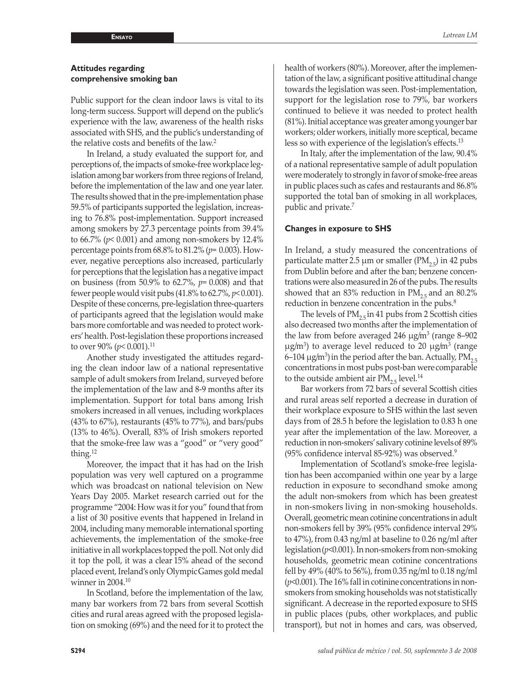## **Attitudes regarding comprehensive smoking ban**

Public support for the clean indoor laws is vital to its long-term success. Support will depend on the public's experience with the law, awareness of the health risks associated with SHS, and the public's understanding of the relative costs and benefits of the law.<sup>2</sup>

In Ireland, a study evaluated the support for, and perceptions of, the impacts of smoke-free workplace legislation among bar workers from three regions of Ireland, before the implementation of the law and one year later. The results showed that in the pre-implementation phase 59.5% of participants supported the legislation, increasing to 76.8% post-implementation. Support increased among smokers by 27.3 percentage points from 39.4% to 66.7% (*p*< 0.001) and among non-smokers by 12.4% percentage points from 68.8% to 81.2% (*p*= 0.003). However, negative perceptions also increased, particularly for perceptions that the legislation has a negative impact on business (from 50.9% to 62.7%, *p*= 0.008) and that fewer people would visit pubs (41.8% to 62.7%, *p*< 0.001). Despite of these concerns, pre-legislation three-quarters of participants agreed that the legislation would make bars more comfortable and was needed to protect workers' health. Post-legislation these proportions increased to over 90% ( $p$ < 0.001).<sup>11</sup>

Another study investigated the attitudes regarding the clean indoor law of a national representative sample of adult smokers from Ireland, surveyed before the implementation of the law and 8-9 months after its implementation. Support for total bans among Irish smokers increased in all venues, including workplaces (43% to 67%), restaurants (45% to 77%), and bars/pubs (13% to 46%). Overall, 83% of Irish smokers reported that the smoke-free law was a "good" or "very good" thing.12

Moreover, the impact that it has had on the Irish population was very well captured on a programme which was broadcast on national television on New Years Day 2005. Market research carried out for the programme "2004: How was it for you" foundthat from a list of 30 positive events that happened in Ireland in 2004, including many memorable international sporting achievements, the implementation of the smoke-free initiative in all workplaces topped the poll. Not only did it top the poll, it was a clear 15% ahead of the second placed event, Ireland's only OlympicGames gold medal winner in 2004.10

In Scotland, before the implementation of the law, many bar workers from 72 bars from several Scottish cities and rural areas agreed with the proposed legislation on smoking (69%) and the need for it to protect the health of workers (80%). Moreover, after the implementation of the law, a significant positive attitudinal change towards the legislation was seen. Post-implementation, support for the legislation rose to 79%, bar workers continued to believe it was needed to protect health (81%). Initial acceptance was greater among younger bar workers; older workers, initially more sceptical, became less so with experience of the legislation's effects.<sup>13</sup>

In Italy, after the implementation of the law, 90.4% of a national representative sample of adult population were moderately to strongly in favor of smoke-free areas in public places such as cafes and restaurants and 86.8% supported the total ban of smoking in all workplaces, public and private.7

#### **Changes in exposure to SHS**

In Ireland, a study measured the concentrations of particulate matter 2.5  $\mu$ m or smaller (PM<sub>2.5</sub>) in 42 pubs from Dublin before and after the ban; benzene concentrations were also measuredin 26 of the pubs. The results showed that an 83% reduction in  $PM_{25}$  and an 80.2% reduction in benzene concentration in the pubs.<sup>8</sup>

The levels of  $PM_{2.5}$  in 41 pubs from 2 Scottish cities also decreased two months after the implementation of the law from before averaged 246  $\mu$ g/m<sup>3</sup> (range 8–902  $\mu$ g/m<sup>3</sup>) to average level reduced to 20  $\mu$ g/m<sup>3</sup> (range 6–104  $\mu$ g/m<sup>3</sup>) in the period after the ban. Actually, PM<sub>2.5</sub> concentrations in most pubs post-ban were comparable to the outside ambient air  $PM_{2.5}$  level.<sup>14</sup>

Bar workers from 72 bars of several Scottish cities and rural areas self reported a decrease in duration of their workplace exposure to SHS within the last seven days from of 28.5 h before the legislation to 0.83 h one year after the implementation of the law. Moreover, a reduction in non-smokers' salivary cotinine levelsof 89% (95% confidence interval 85-92%) was observed.<sup>9</sup>

Implementation of Scotland's smoke-free legislation has been accompanied within one year by a large reduction in exposure to secondhand smoke among the adult non-smokers from which has been greatest in non-smokers living in non-smoking households. Overall, geometric mean cotinine concentrations in adult non-smokers fell by 39% (95% confidence interval 29% to  $47\%$ ), from 0.43 ng/ml at baseline to 0.26 ng/ml after legislation(*p*<0.001). In non-smokers from non-smoking households, geometric mean cotinine concentrations fell by 49% (40% to 56%), from 0.35 ng/ml to 0.18 ng/ml  $(p<0.001)$ . The 16% fall in cotinine concentrations in nonsmokers from smoking households was not statistically significant. A decrease in the reported exposure to SHS in public places (pubs, other workplaces, and public transport), but not in homes and cars, was observed,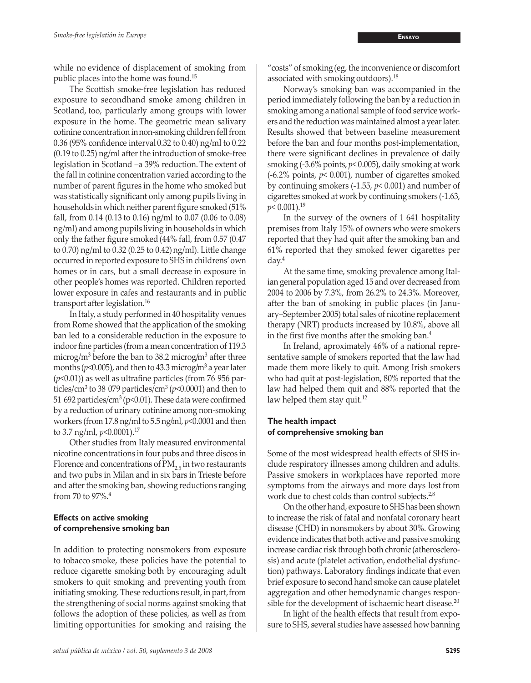while no evidence of displacement of smoking from public places into the home was found.15

The Scottish smoke-free legislation has reduced exposure to secondhand smoke among children in Scotland, too, particularly among groups with lower exposure in the home. The geometric mean salivary cotinine concentration innon-smoking children fell from 0.36 (95% confidence interval 0.32 to 0.40) ng/ml to 0.22 (0.19 to 0.25) ng/ml after the introductionof smoke-free legislation in Scotland –a 39% reduction. The extent of the fall in cotinine concentration varied according to the number of parent figures in the home who smoked but was statistically significant only among pupils living in households in which neither parent figure smoked (51% fall, from 0.14 (0.13 to 0.16) ng/ml to 0.07 (0.06 to 0.08) ng/ml) and among pupils living in households in which only the father figure smoked (44% fall, from 0.57 (0.47 to  $(0.70)$  ng/ml to  $(0.32)$   $(0.25$  to  $(0.42)$  ng/ml). Little change occurred in reported exposure to SHS in childrens' own homes or in cars, but a small decrease in exposure in other people's homes was reported. Children reported lower exposure in cafes and restaurants and in public transport after legislation.<sup>16</sup>

In Italy, a study performed in 40 hospitality venues from Rome showed that the application of the smoking ban led to a considerable reduction in the exposure to indoor fine particles (from a mean concentration of 119.3 microg/m<sup>3</sup> before the ban to 38.2 microg/m<sup>3</sup> after three months ( $p$ <0.005), and then to 43.3 microg/m<sup>3</sup> a year later (*p*<0.01)) as well as ultrafine particles (from 76 956 particles/cm<sup>3</sup> to 38 079 particles/cm<sup>3</sup> ( $p$ <0.0001) and then to 51 692 particles/cm<sup>3</sup> (p<0.01). These data were confirmed by a reduction of urinary cotinine among non-smoking workers (from 17.8 ng/ml to 5.5 ng/ml, *p*<0.0001 and then to 3.7 ng/ml, *p*<0.0001).17

Other studies from Italy measured environmental nicotine concentrations in four pubs and three discos in Florence and concentrations of  $PM_{2.5}$  in two restaurants and two pubs in Milan and in six bars in Trieste before and after the smoking ban, showing reductions ranging from 70 to 97%.<sup>4</sup>

# **Effects on active smoking of comprehensive smoking ban**

In addition to protecting nonsmokers from exposure to tobacco smoke, these policies have the potential to reduce cigarette smoking both by encouraging adult smokers to quit smoking and preventing youth from initiating smoking. These reductions result, in part, from the strengthening of social norms against smoking that follows the adoption of these policies, as well as from limiting opportunities for smoking and raising the

"costs" of smoking(eg, the inconvenience or discomfort associated with smoking outdoors).18

Norway's smoking ban was accompanied in the period immediately following the ban by a reduction in smoking among a national sample of food service workers and the reduction was maintained almost a year later. Results showed that between baseline measurement before the ban and four months post-implementation, there were significant declines in prevalence of daily smoking (-3.6% points, *p*< 0.005), daily smoking at work (-6.2% points, *p*< 0.001), number of cigarettes smoked by continuing smokers (-1.55, *p*< 0.001) and number of cigarettes smoked at work by continuing smokers (-1.63, *p*< 0.001).19

In the survey of the owners of 1 641 hospitality premises from Italy 15% of owners who were smokers reported that they had quit after the smoking ban and 61% reported that they smoked fewer cigarettes per  $day<sup>4</sup>$ 

At the same time, smoking prevalence among Italian general population aged 15 and over decreased from 2004 to 2006 by 7.3%, from 26.2% to 24.3%. Moreover, after the ban of smoking in public places (in January–September 2005) total sales of nicotine replacement therapy (NRT) products increased by 10.8%, above all in the first five months after the smoking ban.<sup>4</sup>

In Ireland, aproximately 46% of a national representative sample of smokers reported that the law had made them more likely to quit. Among Irish smokers who had quit at post-legislation, 80% reported that the law had helped them quit and 88% reported that the law helped them stay quit.<sup>12</sup>

# **The health impact of comprehensive smoking ban**

Some of the most widespread health effects of SHS include respiratory illnesses among children and adults. Passive smokers in workplaces have reported more symptoms from the airways and more days lost from work due to chest colds than control subjects.<sup>2,8</sup>

On the other hand, exposure to SHS has been shown to increase the risk of fatal and nonfatal coronary heart disease (CHD) in nonsmokers by about 30%. Growing evidence indicates that both active and passive smoking increase cardiac risk through both chronic (atherosclerosis) and acute (platelet activation, endothelial dysfunction) pathways. Laboratory findings indicate that even brief exposure to second hand smoke can cause platelet aggregation and other hemodynamic changes responsible for the development of ischaemic heart disease.<sup>20</sup>

In light of the health effects that result from exposure to SHS, several studies have assessed how banning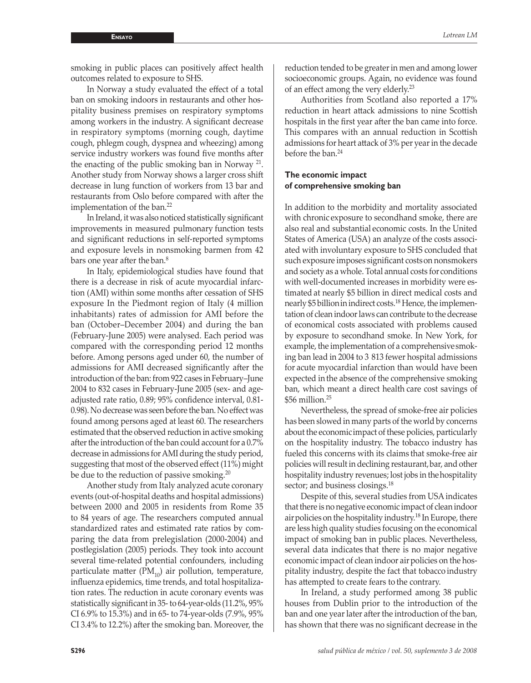smoking in public places can positively affect health outcomes related to exposure to SHS.

In Norway a study evaluated the effect of a total ban on smoking indoors in restaurants and other hospitality business premises on respiratory symptoms among workers in the industry. A significant decrease in respiratory symptoms (morning cough, daytime cough, phlegm cough, dyspnea and wheezing) among service industry workers was found five months after the enacting of the public smoking ban in Norway 21. Another study from Norway shows a larger cross shift decrease in lung function of workers from 13 bar and restaurants from Oslo before compared with after the implementation of the ban.<sup>22</sup>

In Ireland, it was also noticed statistically significant improvements in measured pulmonary function tests and significant reductions in self-reported symptoms and exposure levels in nonsmoking barmen from 42 bars one year after the ban.<sup>8</sup>

In Italy, epidemiological studies have found that there is a decrease in risk of acute myocardial infarction (AMI) within some months after cessation of SHS exposure In the Piedmont region of Italy (4 million inhabitants) rates of admission for AMI before the ban (October–December 2004) and during the ban (February-June 2005) were analysed. Each period was compared with the corresponding period 12 months before. Among persons aged under 60, the number of admissions for AMI decreased significantly after the introduction of the ban: from 922 cases in February–June 2004 to 832 cases in February-June 2005 (sex- and ageadjusted rate ratio, 0.89; 95% confidence interval, 0.81- 0.98). No decrease was seen before the ban. No effect was found among persons aged at least 60. The researchers estimated that the observed reduction in active smoking after the introduction of the ban could account for a 0.7% decrease in admissions for AMI during the study period, suggesting that most of the observed effect (11%) might be due to the reduction of passive smoking.<sup>20</sup>

Another study from Italy analyzed acute coronary events (out-of-hospital deaths and hospital admissions) between 2000 and 2005 in residents from Rome 35 to 84 years of age. The researchers computed annual standardized rates and estimated rate ratios by comparing the data from prelegislation (2000-2004) and postlegislation (2005) periods. They took into account several time-related potential confounders, including particulate matter ( $PM_{10}$ ) air pollution, temperature, influenza epidemics, time trends, and total hospitalization rates. The reduction in acute coronary events was statistically significant in 35- to 64-year-olds (11.2%, 95% CI 6.9% to 15.3%) and in 65- to 74-year-olds (7.9%, 95% CI 3.4% to 12.2%) after the smoking ban. Moreover, the

reduction tended to be greater in men and among lower socioeconomic groups. Again, no evidence was found of an effect among the very elderly.<sup>23</sup>

Authorities from Scotland also reported a 17% reduction in heart attack admissions to nine Scottish hospitals in the first year after the ban came into force. This compares with an annual reduction in Scottish admissions for heart attack of 3% per year in the decade before the ban.<sup>24</sup>

### **The economic impact of comprehensive smoking ban**

In addition to the morbidity and mortality associated with chronic exposure to secondhand smoke, there are also real and substantial economic costs. In the United States of America (USA) an analyze of the costs associated with involuntary exposure to SHS concluded that such exposure imposes significant costson nonsmokers and society as a whole. Total annual costs for conditions with well-documented increases in morbidity were estimated at nearly \$5 billion in direct medical costs and nearly \$5 billionin indirect costs.18 Hence, the implementation of clean indoor laws can contribute to the decrease of economical costs associated with problems caused by exposure to secondhand smoke. In New York, for example, the implementation of a comprehensivesmoking ban lead in 2004 to 3 813 fewer hospital admissions for acute myocardial infarction than would have been expected in the absence of the comprehensive smoking ban, which meant a direct health care cost savings of  $$56$  million.<sup>25</sup>

Nevertheless, the spread of smoke-free air policies has been slowed in many parts of the world by concerns about the economicimpact of these policies, particularly on the hospitality industry. The tobacco industry has fueled this concerns with its claims that smoke-free air policies will result in declining restaurant,bar, and other hospitality industry revenues; lost jobs in thehospitality sector; and business closings.<sup>18</sup>

Despite of this, several studies from USA indicates that there is no negative economic impact of clean indoor air policies on the hospitality industry.<sup>18</sup> In Europe, there are less high quality studies focusing on the economical impact of smoking ban in public places. Nevertheless, several data indicates that there is no major negative economic impact of clean indoor air policies on the hospitality industry, despite the fact that tobacco industry has attempted to create fears to the contrary.

In Ireland, a study performed among 38 public houses from Dublin prior to the introduction of the ban and one year later after the introduction of the ban, has shown that there was no significant decrease in the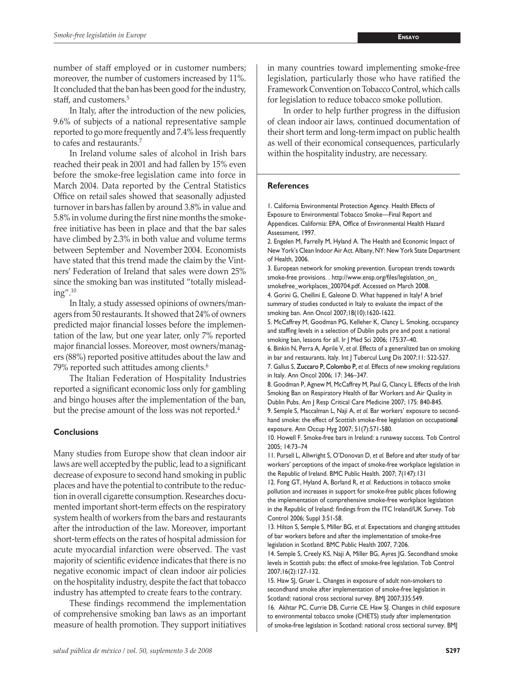number of staff employed or in customer numbers; moreover, the number of customers increased by 11%. It concluded that the ban has been good for the industry, staff, and customers.<sup>5</sup>

In Italy, after the introduction of the new policies, 9.6% of subjects of a national representative sample reported to go more frequently and 7.4% less frequently to cafes and restaurants.7

In Ireland volume sales of alcohol in Irish bars reached their peak in 2001 and had fallen by 15% even before the smoke-free legislation came into force in March 2004. Data reported by the Central Statistics Office on retail sales showed that seasonally adjusted turnover in barshas fallen by around 3.8% in value and 5.8% in volume duringthe first nine months the smokefree initiative has been in place and that the bar sales have climbed by 2.3% in both value and volume terms between September and November 2004. Economists have stated that this trend made the claim by the Vintners' Federation of Ireland that sales were down 25% since the smoking ban was instituted "totally misleading".10

In Italy, a study assessed opinions of owners/managers from 50 restaurants. It showed that 24% of owners predicted major financial losses before the implementation of the law, but one year later, only 7% reported major financial losses. Moreover, most owners/managers (88%) reported positive attitudes about the law and 79% reported such attitudes among clients.<sup>6</sup>

The Italian Federation of Hospitality Industries reported a significant economic loss only for gambling and bingo houses after the implementation of the ban, but the precise amount of the loss was not reported.<sup>4</sup>

#### **Conclusions**

Many studies from Europe show that clean indoor air laws are well accepted by the public, lead to a significant decrease of exposure to second hand smoking in public places and have the potential to contribute to the reduction in overall cigarette consumption. Researches documented important short-term effects on the respiratory system health of workers from the bars and restaurants after the introduction of the law. Moreover, important short-term effects on the rates of hospital admission for acute myocardial infarction were observed. The vast majority of scientific evidence indicates that there is no negative economic impact of clean indoor air policies on the hospitality industry, despite the fact that tobacco industry has attempted to create fears to the contrary.

These findings recommend the implementation of comprehensive smoking ban laws as an important measure of health promotion. They support initiatives in many countries toward implementing smoke-free legislation, particularly those who have ratified the Framework Convention on Tobacco Control, which calls for legislation to reduce tobacco smoke pollution.

In order to help further progress in the diffusion of clean indoor air laws, continued documentation of their short term and long-term impact on public health as well of their economical consequences, particularly within the hospitality industry, are necessary.

#### **References**

1. California Environmental Protection Agency. Health Effects of Exposure to Environmental Tobacco Smoke—Final Report and Appendices. California: EPA, Office of Environmental Health Hazard Assessment, 1997.

2. Engelen M, Farrelly M, Hyland A. The Health and Economic Impact of New York's Clean Indoor Air Act. Albany, NY: New York State Department of Health, 2006.

3. European network for smoking prevention. European trends towards smoke-free provisions. . http://www.ensp.org/files/legislation\_on\_ smokefree\_workplaces\_200704.pdf. Accessed on March 2008.

4. Gorini G, Chellini E, Galeone D. What happened in Italy? A brief summary of studies conducted in Italy to evaluate the impact of the smoking ban. Ann Oncol 2007;18(10):1620-1622.

5. McCaffrey M, Goodman PG, Kelleher K, Clancy L. Smoking, occupancy and staffing levels in a selection of Dublin pubs pre and post a national smoking ban, lessons for all. Ir J Med Sci 2006; 175:37–40.

6. Binkin N, Perra A, Aprile V, *et al*. Effects of a generalized ban on smoking in bar and restaurants, Italy. Int | Tubercul Lung Dis 2007;11: 522-527.

7. Gallus S, Zuccaro P, Colombo P, et al. Effects of new smoking regulations in Italy. Ann Oncol 2006; 17: 346–347.

8. Goodman P, Agnew M, McCaffrey M, Paul G, Clancy L. Effects of the Irish Smoking Ban on Respiratory Health of Bar Workers and Air Quality in Dublin Pubs. Am J Resp Critical Care Medicine 2007; 175: 840-845. 9. Semple S, Maccalman L, Naji A, *et al.* Bar workers' exposure to secondhand smoke: the effect of Scottish smoke-free legislation on occupational

exposure. Ann Occup Hyg 2007; 51(7):571-580. 10. Howell F. Smoke-free bars in Ireland: a runaway success. Tob Control 2005; 14:73–74

11. Pursell L, Allwright S, O'Donovan D, *et al.* Before and after study of bar workers' perceptions of the impact of smoke-free workplace legislation in the Republic of Ireland. BMC Public Health. 2007; 7(147):131

12. Fong GT, Hyland A, Borland R, *et al*. Reductions in tobacco smoke pollution and increases in support for smoke-free public places following the implementation of comprehensive smoke-free workplace legislation in the Republic of Ireland: findings from the ITC Ireland/UK Survey. Tob Control 2006; Suppl 3:51-58.

13. Hilton S, Semple S, Miller BG, *et al*. Expectations and changing attitudes of bar workers before and after the implementation of smoke-free legislation in Scotland. BMC Public Health 2007, 7:206.

14. Semple S, Creely KS, Naji A, Miller BG, Ayres JG. Secondhand smoke levels in Scottish pubs: the effect of smoke-free legislation. Tob Control 2007;16(2):127-132.

15. Haw SJ, Gruer L. Changes in exposure of adult non-smokers to secondhand smoke after implementation of smoke-free legislation in Scotland: national cross sectional survey. BMJ 2007;335:549.

16. Akhtar PC, Currie DB, Currie CE, Haw SJ. Changes in child exposure to environmental tobacco smoke (CHETS) study after implementation of smoke-free legislation in Scotland: national cross sectional survey. BMJ